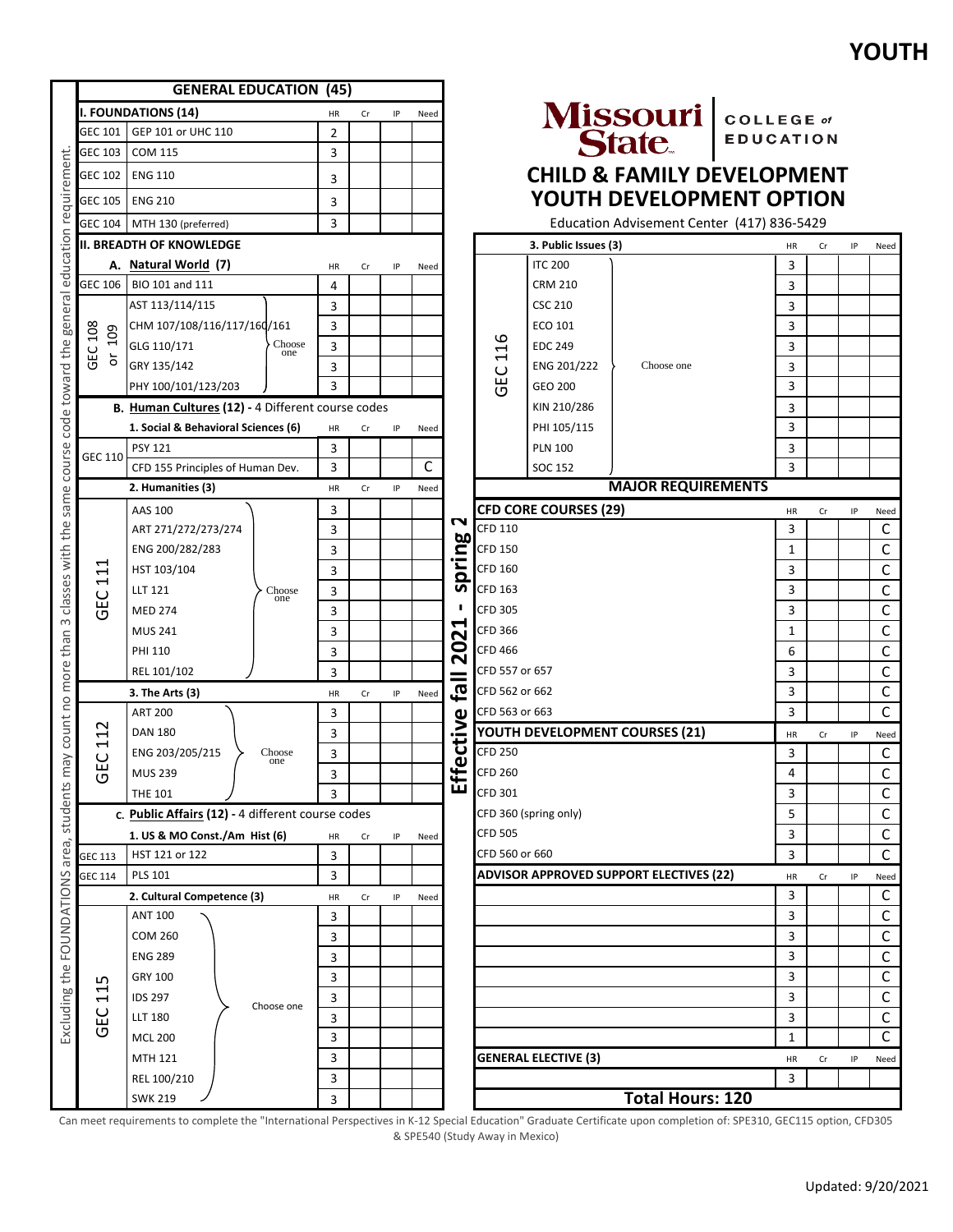|                                 |                                     | <b>GENERAL EDUCATION (45)</b>                     |                |    |    |      |           |                      |                                |                                                |                  |                |    |    |                |
|---------------------------------|-------------------------------------|---------------------------------------------------|----------------|----|----|------|-----------|----------------------|--------------------------------|------------------------------------------------|------------------|----------------|----|----|----------------|
|                                 |                                     | <b>I. FOUNDATIONS (14)</b>                        | HR             | Cr | ΙP | Need |           |                      |                                |                                                |                  |                |    |    |                |
| education requirement           | GEC 101                             | GEP 101 or UHC 110                                | $\overline{2}$ |    |    |      |           |                      |                                | Missouri COLLEGE of                            | <b>EDUCATION</b> |                |    |    |                |
|                                 | GEC 103                             | <b>COM 115</b>                                    | 3              |    |    |      |           |                      |                                |                                                |                  |                |    |    |                |
|                                 | GEC 102                             | <b>ENG 110</b>                                    | 3              |    |    |      |           |                      |                                | <b>CHILD &amp; FAMILY DEVELOPMENT</b>          |                  |                |    |    |                |
|                                 | GEC 105                             | <b>ENG 210</b>                                    | 3              |    |    |      |           |                      |                                | YOUTH DEVELOPMENT OPTION                       |                  |                |    |    |                |
|                                 | GEC 104                             | MTH 130 (preferred)                               | 3              |    |    |      |           |                      |                                | Education Advisement Center (417) 836-5429     |                  |                |    |    |                |
|                                 |                                     | <b>II. BREADTH OF KNOWLEDGE</b>                   |                |    |    |      |           |                      | 3. Public Issues (3)           |                                                |                  | HR             | Cr | IP | Need           |
|                                 |                                     | A. Natural World (7)                              | HR             | Cr | ΙP | Need |           |                      | <b>ITC 200</b>                 |                                                |                  | 3              |    |    |                |
|                                 |                                     | GEC 106 BIO 101 and 111                           | 4              |    |    |      |           |                      | <b>CRM 210</b>                 |                                                |                  | 3              |    |    |                |
|                                 |                                     | AST 113/114/115                                   | 3              |    |    |      |           |                      | <b>CSC 210</b>                 |                                                |                  | 3              |    |    |                |
|                                 | 108                                 | CHM 107/108/116/117/160/161                       | 3              |    |    |      |           |                      | ECO 101                        |                                                |                  | 3              |    |    |                |
| code toward the general         | 109                                 | GLG 110/171<br>Choose<br>one                      | 3              |    |    |      |           | م<br>$\overline{11}$ | <b>EDC 249</b>                 |                                                |                  | 3              |    |    |                |
|                                 | GEC<br>$\overleftarrow{\mathrm{o}}$ | GRY 135/142                                       | 3              |    |    |      |           |                      | ENG 201/222                    | Choose one                                     |                  | 3              |    |    |                |
|                                 |                                     | PHY 100/101/123/203                               | 3              |    |    |      |           | <b>GEC</b>           | <b>GEO 200</b>                 |                                                |                  | 3              |    |    |                |
|                                 |                                     | B. Human Cultures (12) - 4 Different course codes |                |    |    |      |           |                      | KIN 210/286                    |                                                |                  | 3              |    |    |                |
|                                 |                                     | 1. Social & Behavioral Sciences (6)               | HR             | Cr | IP | Need |           |                      | PHI 105/115                    |                                                |                  | 3              |    |    |                |
|                                 |                                     | <b>PSY 121</b>                                    | 3              |    |    |      |           |                      | <b>PLN 100</b>                 |                                                |                  | 3              |    |    |                |
| course                          | GEC 110                             | CFD 155 Principles of Human Dev.                  | 3              |    |    | C    |           |                      | SOC 152                        |                                                |                  | $\overline{3}$ |    |    |                |
|                                 |                                     | 2. Humanities (3)                                 | HR             | Cr | ΙP | Need |           |                      |                                | <b>MAJOR REQUIREMENTS</b>                      |                  |                |    |    |                |
| same                            |                                     | AAS 100                                           | 3              |    |    |      | N         |                      | <b>CFD CORE COURSES (29)</b>   |                                                |                  | HR             | Cr | IP | Need           |
|                                 |                                     | ART 271/272/273/274                               | 3              |    |    |      |           | <b>CFD 110</b>       |                                |                                                |                  | 3              |    |    | C              |
|                                 |                                     | ENG 200/282/283                                   | 3              |    |    |      | <b>bo</b> | <b>CFD 150</b>       |                                |                                                |                  | $\mathbf{1}$   |    |    | $\mathsf{C}$   |
| classes with the                | ↤<br>$\mathbf{1}$                   | HST 103/104                                       | 3              |    |    |      | pring     | CFD 160              |                                |                                                |                  | 3              |    |    | $\mathsf{C}$   |
|                                 | <b>GEC</b>                          | LLT 121<br>Choose                                 | 3              |    |    |      | n         | <b>CFD 163</b>       |                                |                                                |                  | 3              |    |    | C              |
|                                 |                                     | one<br><b>MED 274</b>                             | 3              |    |    |      | п         | <b>CFD 305</b>       |                                |                                                |                  | 3              |    |    | $\mathsf C$    |
| $\infty$                        |                                     | <b>MUS 241</b>                                    | 3              |    |    |      | ↤<br>N    | <b>CFD 366</b>       |                                |                                                |                  | 1              |    |    | $\mathsf C$    |
|                                 |                                     | PHI 110                                           | 3              |    |    |      | 0         | <b>CFD 466</b>       |                                |                                                |                  | 6              |    |    | C              |
| more than                       |                                     | REL 101/102                                       | 3              |    |    |      | $\sim$    | CFD 557 or 657       |                                |                                                |                  | 3              |    |    | C              |
|                                 |                                     | 3. The Arts (3)                                   | HR             | Cr | IP | Need |           | ಥಿ<br>CFD 562 or 662 |                                |                                                |                  | 3              |    |    | $\mathsf C$    |
| students may count no           |                                     | <b>ART 200</b>                                    | 3              |    |    |      |           | CFD 563 or 663       |                                |                                                |                  | 3              |    |    | C              |
|                                 | 2                                   | <b>DAN 180</b>                                    | 3              |    |    |      | ctive     |                      | YOUTH DEVELOPMENT COURSES (21) |                                                |                  | HR             | Cr | IP | Need           |
|                                 | Ţ<br>ں                              | ENG 203/205/215<br>Choose<br>one                  | 3              |    |    |      |           | <b>CFD 250</b>       |                                |                                                |                  | 3              |    |    | C              |
|                                 | 靣<br>י                              | <b>MUS 239</b>                                    | 3              |    |    |      | قع        | <b>CFD 260</b>       |                                |                                                |                  | 4              |    |    | $\mathsf C$    |
|                                 |                                     | <b>THE 101</b>                                    | 3              |    |    |      | ᠊ᢅ╙       | CFD 301              |                                |                                                |                  | 3              |    |    | $\mathsf{C}$   |
|                                 |                                     | c. Public Affairs (12) - 4 different course codes |                |    |    |      |           |                      | CFD 360 (spring only)          |                                                |                  | 5              |    |    | $\mathsf C$    |
|                                 |                                     | 1. US & MO Const./Am Hist (6)<br>HR               |                |    |    | Need |           | <b>CFD 505</b>       |                                |                                                |                  | 3              |    |    | $\mathsf C$    |
|                                 | <b>GEC 113</b>                      | HST 121 or 122                                    | 3              |    |    |      |           | CFD 560 or 660       |                                |                                                |                  | 3              |    |    | $\mathsf{C}$   |
|                                 | GEC 114                             | <b>PLS 101</b>                                    | 3              |    |    |      |           |                      |                                | <b>ADVISOR APPROVED SUPPORT ELECTIVES (22)</b> |                  | HR             | Cr | IP | Need           |
|                                 |                                     | 2. Cultural Competence (3)                        | HR             | Cr | IP | Need |           |                      |                                |                                                |                  | 3              |    |    | C              |
|                                 |                                     | <b>ANT 100</b>                                    | 3              |    |    |      |           |                      |                                |                                                |                  | 3              |    |    | $\mathsf{C}$   |
|                                 |                                     | <b>COM 260</b>                                    | 3              |    |    |      |           |                      |                                |                                                |                  | 3              |    |    | $\mathsf C$    |
|                                 |                                     | <b>ENG 289</b>                                    | 3              |    |    |      |           |                      |                                |                                                |                  | 3              |    |    | $\mathsf{C}$   |
|                                 | ഗ                                   | GRY 100                                           | 3              |    |    |      |           |                      |                                |                                                |                  | 3              |    |    | $\mathsf C$    |
|                                 | $\Xi$                               | <b>IDS 297</b>                                    | 3              |    |    |      |           |                      |                                |                                                |                  | 3              |    |    | $\mathsf C$    |
| Excluding the FOUNDATIONS area, | <b>GEC</b>                          | Choose one<br>LLT 180                             | 3              |    |    |      |           |                      |                                |                                                |                  | 3              |    |    | $\mathsf C$    |
|                                 |                                     | <b>MCL 200</b>                                    | 3              |    |    |      |           |                      |                                |                                                |                  | $\mathbf{1}$   |    |    | $\overline{C}$ |
|                                 |                                     | MTH 121                                           | 3              |    |    |      |           |                      | <b>GENERAL ELECTIVE (3)</b>    |                                                |                  | HR             | Cr | IP | Need           |
|                                 |                                     | REL 100/210                                       | 3              |    |    |      |           |                      |                                |                                                |                  | 3              |    |    |                |
|                                 |                                     | <b>SWK 219</b>                                    | 3              |    |    |      |           |                      |                                | <b>Total Hours: 120</b>                        |                  |                |    |    |                |
|                                 |                                     |                                                   |                |    |    |      |           |                      |                                |                                                |                  |                |    |    |                |



# **D & FAMILY DEVELOPMENT JTH DEVELOPMENT OPTION**

|                | 3. Public Issues (3)         |                                         | HR | Cr | IP | Need         |
|----------------|------------------------------|-----------------------------------------|----|----|----|--------------|
|                | <b>ITC 200</b>               |                                         | з  |    |    |              |
|                | <b>CRM 210</b>               |                                         | 3  |    |    |              |
|                | <b>CSC 210</b>               |                                         | 3  |    |    |              |
|                | ECO 101                      |                                         | 3  |    |    |              |
|                | <b>EDC 249</b>               |                                         | 3  |    |    |              |
|                | ENG 201/222                  | Choose one                              | 3  |    |    |              |
| GEC 116        | GEO 200                      |                                         | 3  |    |    |              |
|                | KIN 210/286                  |                                         | 3  |    |    |              |
|                | PHI 105/115                  |                                         | 3  |    |    |              |
|                | <b>PLN 100</b>               |                                         | 3  |    |    |              |
|                | SOC 152                      |                                         | 3  |    |    |              |
|                |                              | <b>MAJOR REQUIREMENTS</b>               |    |    |    |              |
|                | <b>CFD CORE COURSES (29)</b> |                                         | HR | Cr | ΙP | Need         |
| CFD 110        |                              |                                         | 3  |    |    | C            |
| CFD 150        |                              |                                         | 1  |    |    | С            |
| CFD 160        |                              |                                         | 3  |    |    | С            |
| CFD 163        |                              |                                         | з  |    |    | С            |
| CFD 305        |                              |                                         | 3  |    |    | С            |
| CFD 366        |                              |                                         | 1  |    |    | С            |
| CFD 466        |                              |                                         | 6  |    |    | С            |
| CFD 557 or 657 |                              |                                         | 3  |    |    | С            |
| CFD 562 or 662 |                              |                                         | 3  |    |    | С            |
| CFD 563 or 663 |                              |                                         | 3  |    |    | C            |
|                |                              | YOUTH DEVELOPMENT COURSES (21)          | HR | Cr | IP | Need         |
| <b>CFD 250</b> |                              |                                         | 3  |    |    | C            |
| CFD 260        |                              |                                         | 4  |    |    | С            |
| CFD 301        |                              |                                         | 3  |    |    | C            |
|                | CFD 360 (spring only)        |                                         | 5  |    |    | С            |
| CFD 505        |                              |                                         | 3  |    |    | С            |
| CFD 560 or 660 |                              |                                         | 3  |    |    | C            |
|                |                              | ADVISOR APPROVED SUPPORT ELECTIVES (22) | HR | Cr | ΙP | Need         |
|                |                              |                                         | 3  |    |    | C            |
|                |                              |                                         | 3  |    |    | С            |
|                |                              |                                         | З  |    |    | C            |
|                |                              |                                         | 3  |    |    | C            |
|                |                              |                                         | 3  |    |    | C            |
|                |                              |                                         | 3  |    |    | $\mathsf{C}$ |
|                |                              |                                         | 3  |    |    | C            |
|                |                              |                                         | 1  |    |    | C            |
|                | <b>GENERAL ELECTIVE (3)</b>  |                                         | HR | Cr | IP | Need         |
|                |                              |                                         | 3  |    |    |              |
|                |                              | <b>Total Hours: 120</b>                 |    |    |    |              |

Can meet requirements to complete the "International Perspectives in K-12 Special Education" Graduate Certificate upon completion of: SPE310, GEC115 option, CFD305 & SPE540 (Study Away in Mexico)